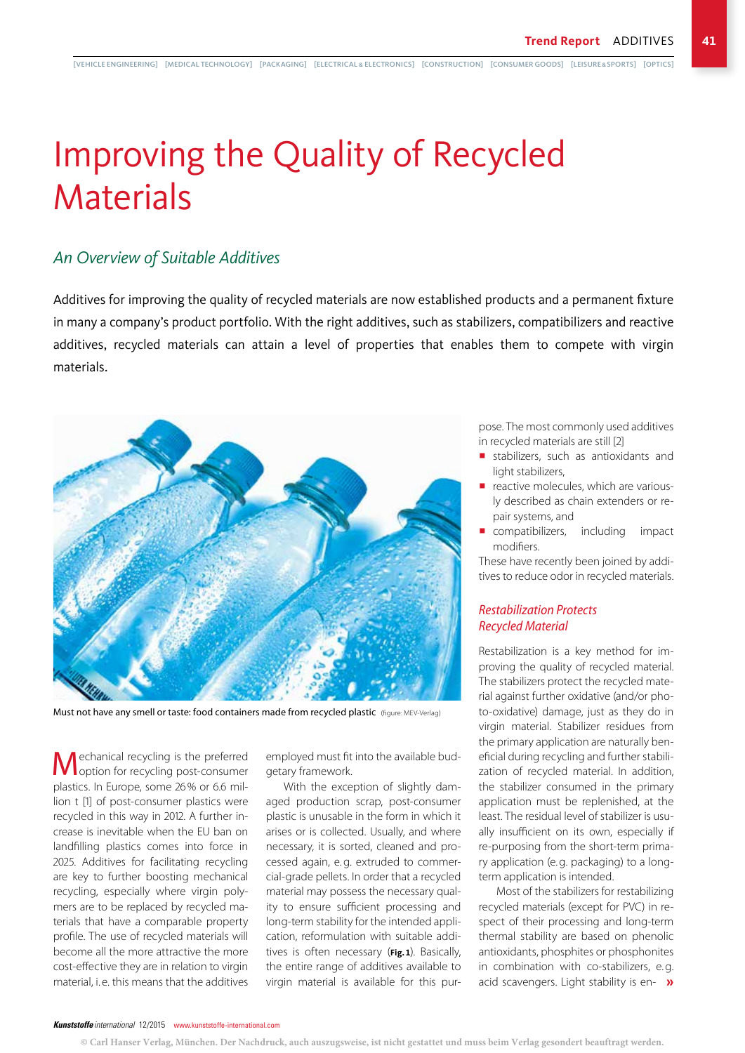# Improving the Quality of Recycled **Materials**

### *An Overview of Suitable Additives*

Additives for improving the quality of recycled materials are now established products and a permanent fixture in many a company's product portfolio. With the right additives, such as stabilizers, compatibilizers and reactive additives, recycled materials can attain a level of properties that enables them to compete with virgin materials.



Must not have any smell or taste: food containers made from recycled plastic (figure: MEV-Verlag)

echanical recycling is the preferred option for recycling post-consumer plastics. In Europe, some 26% or 6.6 million t [1] of post-consumer plastics were recycled in this way in 2012. A further increase is inevitable when the EU ban on landfilling plastics comes into force in 2025. Additives for facilitating recycling are key to further boosting mechanical recycling, especially where virgin polymers are to be replaced by recycled materials that have a comparable property profile. The use of recycled materials will become all the more attractive the more cost-effective they are in relation to virgin material, i. e. this means that the additives

employed must fit into the available budgetary framework.

With the exception of slightly damaged production scrap, post-consumer plastic is unusable in the form in which it arises or is collected. Usually, and where necessary, it is sorted, cleaned and processed again, e.g. extruded to commercial-grade pellets. In order that a recycled material may possess the necessary quality to ensure sufficient processing and long-term stability for the intended application, reformulation with suitable additives is often necessary (**Fig.1**). Basically, the entire range of additives available to virgin material is available for this purpose. The most commonly used additives in recycled materials are still [2]

- stabilizers, such as antioxidants and light stabilizers,
- **P** reactive molecules, which are variously described as chain extenders or repair systems, and
- compatibilizers, including impact modifiers.

These have recently been joined by additives to reduce odor in recycled materials.

### *Restabilization Protects Recycled Material*

Restabilization is a key method for improving the quality of recycled material. The stabilizers protect the recycled material against further oxidative (and/or photo-oxidative) damage, just as they do in virgin material. Stabilizer residues from the primary application are naturally beneficial during recycling and further stabilization of recycled material. In addition, the stabilizer consumed in the primary application must be replenished, at the least. The residual level of stabilizer is usually insufficient on its own, especially if re-purposing from the short-term primary application (e.g. packaging) to a longterm application is intended.

Most of the stabilizers for restabilizing recycled materials (except for PVC) in respect of their processing and long-term thermal stability are based on phenolic antioxidants, phosphites or phosphonites in combination with co-stabilizers, e.g. acid scavengers. Light stability is en- $\mathbf{v}$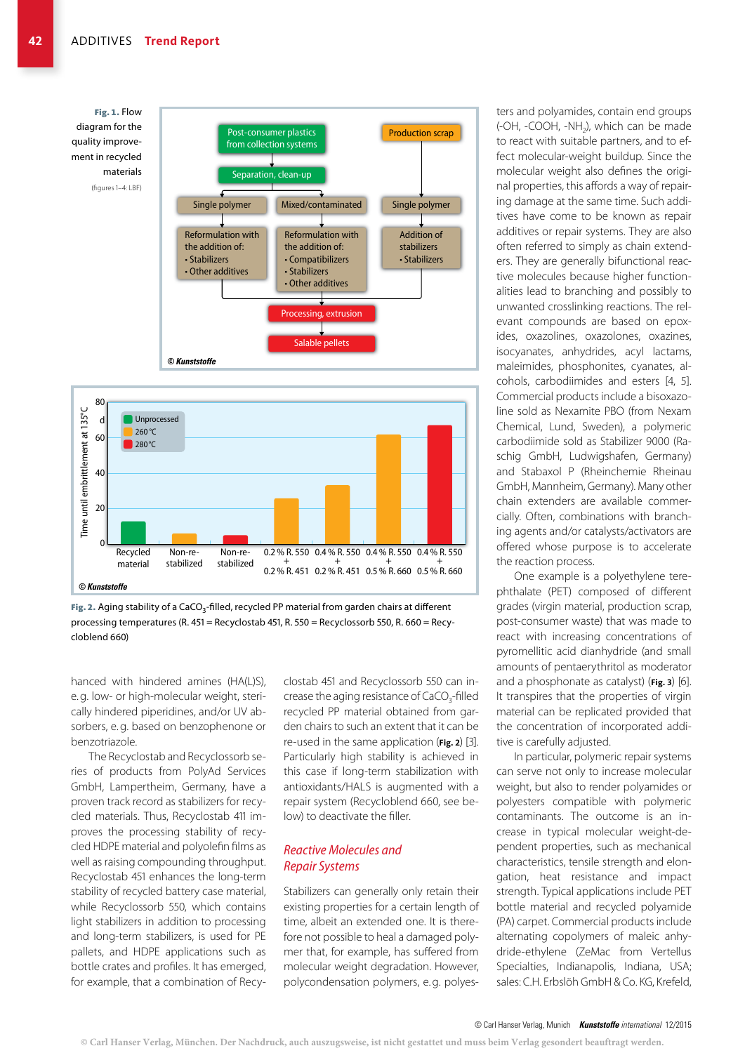

Fig. 2. Aging stability of a CaCO<sub>3</sub>-filled, recycled PP material from garden chairs at different processing temperatures (R. 451 = Recyclostab 451, R. 550 = Recyclossorb 550, R. 660 = Recycloblend 660)

hanced with hindered amines (HA(L)S), e.g. low- or high-molecular weight, sterically hindered piperidines, and/or UV absorbers, e.g. based on benzophenone or benzotriazole.

The Recyclostab and Recyclossorb series of products from PolyAd Services GmbH, Lampertheim, Germany, have a proven track record as stabilizers for recycled materials. Thus, Recyclostab 411 improves the processing stability of recycled HDPE material and polyolefin films as well as raising compounding throughput. Recyclostab 451 enhances the long-term stability of recycled battery case material, while Recyclossorb 550, which contains light stabilizers in addition to processing and long-term stabilizers, is used for PE pallets, and HDPE applications such as bottle crates and profiles. It has emerged, for example, that a combination of Recyclostab 451 and Recyclossorb 550 can increase the aging resistance of  $CaCO<sub>3</sub>$ -filled recycled PP material obtained from garden chairs to such an extent that it can be re-used in the same application (**Fig. 2**) [3]. Particularly high stability is achieved in this case if long-term stabilization with antioxidants/HALS is augmented with a repair system (Recycloblend 660, see below) to deactivate the filler.

### *Reactive Molecules and Repair Systems*

Stabilizers can generally only retain their existing properties for a certain length of time, albeit an extended one. It is therefore not possible to heal a damaged polymer that, for example, has suffered from molecular weight degradation. However, polycondensation polymers, e.g. polyesters and polyamides, contain end groups (-OH, -COOH, -NH2), which can be made to react with suitable partners, and to effect molecular-weight buildup. Since the molecular weight also defines the original properties, this affords a way of repairing damage at the same time. Such additives have come to be known as repair additives or repair systems. They are also often referred to simply as chain extenders. They are generally bifunctional reactive molecules because higher functionalities lead to branching and possibly to unwanted crosslinking reactions. The relevant compounds are based on epoxides, oxazolines, oxazolones, oxazines, isocyanates, anhydrides, acyl lactams, maleimides, phosphonites, cyanates, alcohols, carbodiimides and esters [4, 5]. Commercial products include a bisoxazoline sold as Nexamite PBO (from Nexam Chemical, Lund, Sweden), a polymeric carbodiimide sold as Stabilizer 9000 (Raschig GmbH, Ludwigshafen, Germany) and Stabaxol P (Rheinchemie Rheinau GmbH, Mannheim, Germany). Many other chain extenders are available commercially. Often, combinations with branching agents and/or catalysts/activators are offered whose purpose is to accelerate the reaction process.

One example is a polyethylene terephthalate (PET) composed of different grades (virgin material, production scrap, post-consumer waste) that was made to react with increasing concentrations of pyromellitic acid dianhydride (and small amounts of pentaerythritol as moderator and a phosphonate as catalyst) (**Fig. 3**) [6]. It transpires that the properties of virgin material can be replicated provided that the concentration of incorporated additive is carefully adjusted.

In particular, polymeric repair systems can serve not only to increase molecular weight, but also to render polyamides or polyesters compatible with polymeric contaminants. The outcome is an increase in typical molecular weight-dependent properties, such as mechanical characteristics, tensile strength and elongation, heat resistance and impact strength. Typical applications include PET bottle material and recycled polyamide (PA) carpet. Commercial products include alternating copolymers of maleic anhydride-ethylene (ZeMac from Vertellus Specialties, Indianapolis, Indiana, USA; sales: C.H. Erbslöh GmbH & Co. KG, Krefeld,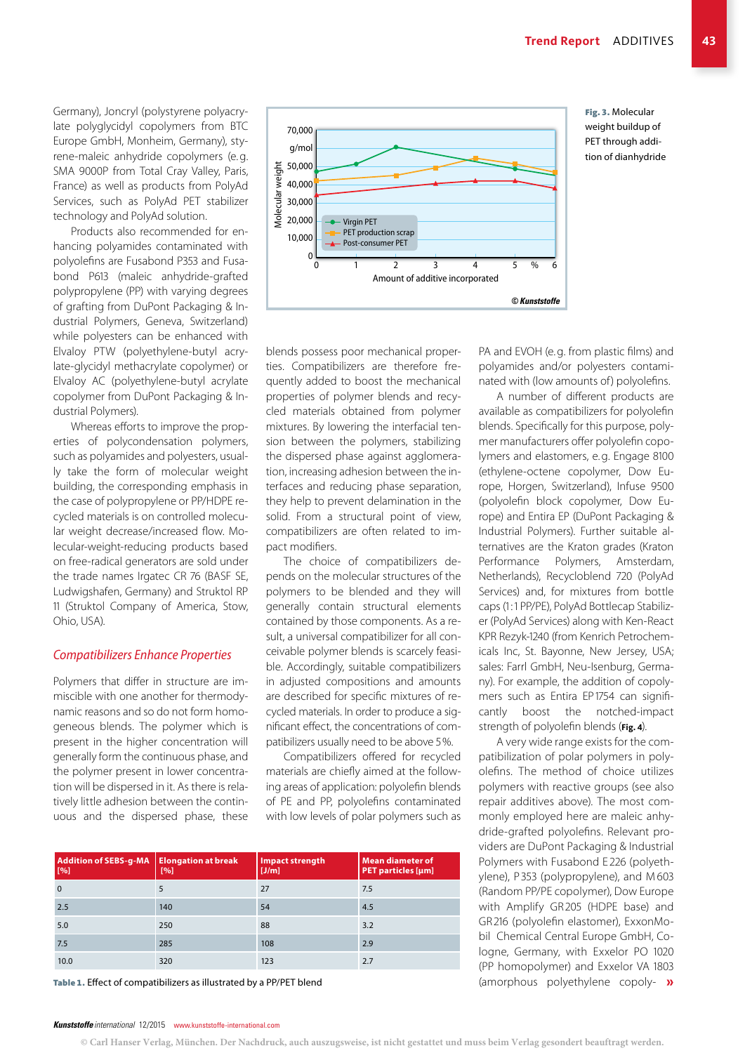Germany), Joncryl (polystyrene polyacrylate polyglycidyl copolymers from BTC Europe GmbH, Monheim, Germany), styrene-maleic anhydride copolymers (e.g. SMA 9000P from Total Cray Valley, Paris, France) as well as products from PolyAd Services, such as PolyAd PET stabilizer technology and PolyAd solution.

Products also recommended for enhancing polyamides contaminated with polyolefins are Fusabond P353 and Fusabond P613 (maleic anhydride-grafted polypropylene (PP) with varying degrees of grafting from DuPont Packaging & Industrial Polymers, Geneva, Switzerland) while polyesters can be enhanced with Elvaloy PTW (polyethylene-butyl acrylate-glycidyl methacrylate copolymer) or Elvaloy AC (polyethylene-butyl acrylate copolymer from DuPont Packaging & Industrial Polymers).

Whereas efforts to improve the properties of polycondensation polymers, such as polyamides and polyesters, usually take the form of molecular weight building, the corresponding emphasis in the case of polypropylene or PP/HDPE recycled materials is on controlled molecular weight decrease/increased flow. Molecular-weight-reducing products based on free-radical generators are sold under the trade names Irgatec CR 76 (BASF SE, Ludwigshafen, Germany) and Struktol RP 11 (Struktol Company of America, Stow, Ohio, USA).

### *Compatibilizers Enhance Properties*

Polymers that differ in structure are immiscible with one another for thermodynamic reasons and so do not form homogeneous blends. The polymer which is present in the higher concentration will generally form the continuous phase, and the polymer present in lower concentration will be dispersed in it. As there is relatively little adhesion between the continuous and the dispersed phase, these



Fig. 3. Molecular weight buildup of PET through addition of dianhydride

blends possess poor mechanical properties. Compatibilizers are therefore frequently added to boost the mechanical properties of polymer blends and recycled materials obtained from polymer mixtures. By lowering the interfacial tension between the polymers, stabilizing the dispersed phase against agglomeration, increasing adhesion between the interfaces and reducing phase separation, they help to prevent delamination in the solid. From a structural point of view, compatibilizers are often related to impact modifiers.

The choice of compatibilizers depends on the molecular structures of the polymers to be blended and they will generally contain structural elements contained by those components. As a result, a universal compatibilizer for all conceivable polymer blends is scarcely feasible. Accordingly, suitable compatibilizers in adjusted compositions and amounts are described for specific mixtures of recycled materials. In order to produce a significant effect, the concentrations of compatibilizers usually need to be above 5%.

Compatibilizers offered for recycled materials are chiefly aimed at the following areas of application: polyolefin blends of PE and PP, polyolefins contaminated with low levels of polar polymers such as

| <b>Addition of SEBS-g-MA</b><br>[%] | <b>Elongation at break</b><br>[%] | Impact strength<br>[J/m] | <b>Mean diameter of</b><br>PET particles [µm] |
|-------------------------------------|-----------------------------------|--------------------------|-----------------------------------------------|
| $\Omega$                            | 5                                 | 27                       | 7.5                                           |
| 2.5                                 | 140                               | 54                       | 4.5                                           |
| 5.0                                 | 250                               | 88                       | 3.2                                           |
| 7.5                                 | 285                               | 108                      | 2.9                                           |
| 10.0                                | 320                               | 123                      | 2.7                                           |

Table 1. Effect of compatibilizers as illustrated by a PP/PET blend

PA and EVOH (e.g. from plastic films) and polyamides and/or polyesters contaminated with (low amounts of) polyolefins.

A number of different products are available as compatibilizers for polyolefin blends. Specifically for this purpose, polymer manufacturers offer polyolefin copolymers and elastomers, e.g. Engage 8100 (ethylene-octene copolymer, Dow Europe, Horgen, Switzerland), Infuse 9500 (polyolefin block copolymer, Dow Europe) and Entira EP (DuPont Packaging & Industrial Polymers). Further suitable alternatives are the Kraton grades (Kraton Performance Polymers, Amsterdam, Netherlands), Recycloblend 720 (PolyAd Services) and, for mixtures from bottle caps (1:1 PP/PE), PolyAd Bottlecap Stabilizer (PolyAd Services) along with Ken-React KPR Rezyk-1240 (from Kenrich Petrochemicals Inc, St. Bayonne, New Jersey, USA; sales: Farrl GmbH, Neu-Isenburg, Germany). For example, the addition of copolymers such as Entira EP1754 can significantly boost the notched-impact strength of polyolefin blends (**Fig. 4**).

A very wide range exists for the compatibilization of polar polymers in polyolefins. The method of choice utilizes polymers with reactive groups (see also repair additives above). The most commonly employed here are maleic anhydride-grafted polyolefins. Relevant providers are DuPont Packaging & Industrial Polymers with Fusabond E 226 (polyethylene), P 353 (polypropylene), and M603 (Random PP/PE copolymer), Dow Europe with Amplify GR 205 (HDPE base) and GR 216 (polyolefin elastomer), ExxonMobil Chemical Central Europe GmbH, Cologne, Germany, with Exxelor PO 1020 (PP homopolymer) and Exxelor VA 1803 (amorphous polyethylene copoly-  $\mathbf{v}$